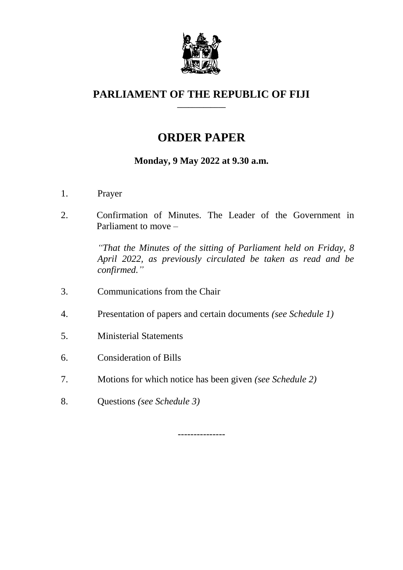

#### **PARLIAMENT OF THE REPUBLIC OF FIJI \_\_\_\_\_\_\_\_\_\_\_\_\_**

# **ORDER PAPER**

## **Monday, 9 May 2022 at 9.30 a.m.**

- 1. Prayer
- 2. Confirmation of Minutes. The Leader of the Government in Parliament to move –

*"That the Minutes of the sitting of Parliament held on Friday, 8 April 2022, as previously circulated be taken as read and be confirmed."*

- 3. Communications from the Chair
- 4. Presentation of papers and certain documents *(see Schedule 1)*
- 5. Ministerial Statements
- 6. Consideration of Bills
- 7. Motions for which notice has been given *(see Schedule 2)*
- 8. Questions *(see Schedule 3)*

---------------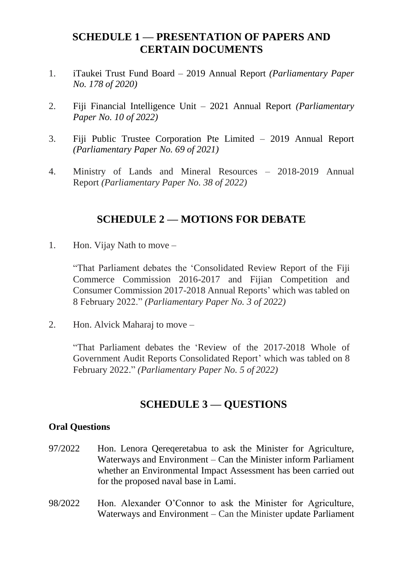#### **SCHEDULE 1 — PRESENTATION OF PAPERS AND CERTAIN DOCUMENTS**

- 1. iTaukei Trust Fund Board 2019 Annual Report *(Parliamentary Paper No. 178 of 2020)*
- 2. Fiji Financial Intelligence Unit 2021 Annual Report *(Parliamentary Paper No. 10 of 2022)*
- 3. Fiji Public Trustee Corporation Pte Limited 2019 Annual Report *(Parliamentary Paper No. 69 of 2021)*
- 4. Ministry of Lands and Mineral Resources 2018-2019 Annual Report *(Parliamentary Paper No. 38 of 2022)*

#### **SCHEDULE 2 — MOTIONS FOR DEBATE**

1. Hon. Vijay Nath to move –

"That Parliament debates the 'Consolidated Review Report of the Fiji Commerce Commission 2016-2017 and Fijian Competition and Consumer Commission 2017-2018 Annual Reports' which was tabled on 8 February 2022." *(Parliamentary Paper No. 3 of 2022)*

2. Hon. Alvick Maharaj to move –

"That Parliament debates the 'Review of the 2017-2018 Whole of Government Audit Reports Consolidated Report' which was tabled on 8 February 2022." *(Parliamentary Paper No. 5 of 2022)*

## **SCHEDULE 3 — QUESTIONS**

#### **Oral Questions**

- 97/2022 Hon. Lenora Qereqeretabua to ask the Minister for Agriculture, Waterways and Environment – Can the Minister inform Parliament whether an Environmental Impact Assessment has been carried out for the proposed naval base in Lami.
- 98/2022 Hon. Alexander O'Connor to ask the Minister for Agriculture, Waterways and Environment – Can the Minister update Parliament